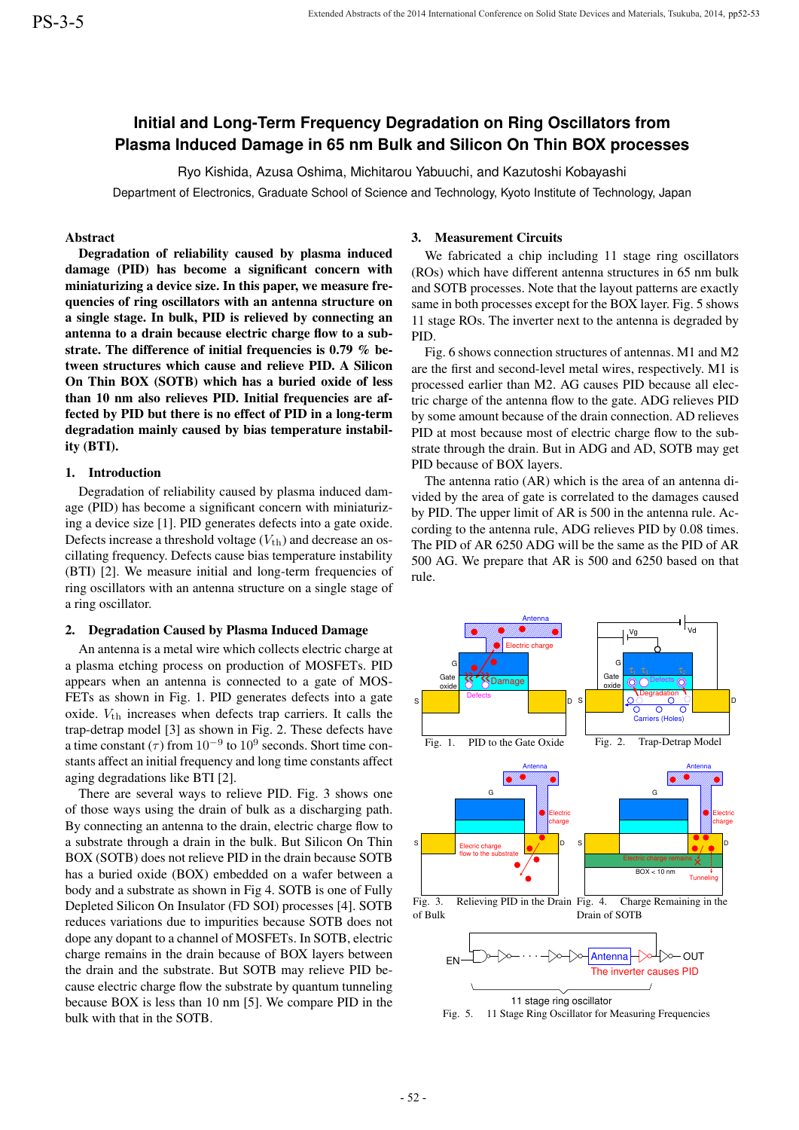# **Initial and Long-Term Frequency Degradation on Ring Oscillators from Plasma Induced Damage in 65 nm Bulk and Silicon On Thin BOX processes**

Ryo Kishida, Azusa Oshima, Michitarou Yabuuchi, and Kazutoshi Kobayashi

Department of Electronics, Graduate School of Science and Technology, Kyoto Institute of Technology, Japan

# Abstract

Degradation of reliability caused by plasma induced damage (PID) has become a significant concern with miniaturizing a device size. In this paper, we measure frequencies of ring oscillators with an antenna structure on a single stage. In bulk, PID is relieved by connecting an antenna to a drain because electric charge flow to a substrate. The difference of initial frequencies is 0.79 % between structures which cause and relieve PID. A Silicon On Thin BOX (SOTB) which has a buried oxide of less than 10 nm also relieves PID. Initial frequencies are affected by PID but there is no effect of PID in a long-term degradation mainly caused by bias temperature instability (BTI).

#### 1. Introduction

Degradation of reliability caused by plasma induced damage (PID) has become a significant concern with miniaturizing a device size [1]. PID generates defects into a gate oxide. Defects increase a threshold voltage  $(V_{\text{th}})$  and decrease an oscillating frequency. Defects cause bias temperature instability (BTI) [2]. We measure initial and long-term frequencies of ring oscillators with an antenna structure on a single stage of a ring oscillator.

## 2. Degradation Caused by Plasma Induced Damage

An antenna is a metal wire which collects electric charge at a plasma etching process on production of MOSFETs. PID appears when an antenna is connected to a gate of MOS-FETs as shown in Fig. 1. PID generates defects into a gate oxide.  $V_{\text{th}}$  increases when defects trap carriers. It calls the trap-detrap model [3] as shown in Fig. 2. These defects have a time constant ( $\tau$ ) from 10<sup>-9</sup> to 10<sup>9</sup> seconds. Short time constants affect an initial frequency and long time constants affect aging degradations like BTI [2].

There are several ways to relieve PID. Fig. 3 shows one of those ways using the drain of bulk as a discharging path. By connecting an antenna to the drain, electric charge flow to a substrate through a drain in the bulk. But Silicon On Thin BOX (SOTB) does not relieve PID in the drain because SOTB has a buried oxide (BOX) embedded on a wafer between a body and a substrate as shown in Fig 4. SOTB is one of Fully Depleted Silicon On Insulator (FD SOI) processes [4]. SOTB reduces variations due to impurities because SOTB does not dope any dopant to a channel of MOSFETs. In SOTB, electric charge remains in the drain because of BOX layers between the drain and the substrate. But SOTB may relieve PID because electric charge flow the substrate by quantum tunneling because BOX is less than 10 nm [5]. We compare PID in the bulk with that in the SOTB.

#### 3. Measurement Circuits

We fabricated a chip including 11 stage ring oscillators (ROs) which have different antenna structures in 65 nm bulk and SOTB processes. Note that the layout patterns are exactly same in both processes except for the BOX layer. Fig. 5 shows 11 stage ROs. The inverter next to the antenna is degraded by PID.

Fig. 6 shows connection structures of antennas. M1 and M2 are the first and second-level metal wires, respectively. M1 is processed earlier than M2. AG causes PID because all electric charge of the antenna flow to the gate. ADG relieves PID by some amount because of the drain connection. AD relieves PID at most because most of electric charge flow to the substrate through the drain. But in ADG and AD, SOTB may get PID because of BOX layers.

The antenna ratio (AR) which is the area of an antenna divided by the area of gate is correlated to the damages caused by PID. The upper limit of AR is 500 in the antenna rule. According to the antenna rule, ADG relieves PID by 0.08 times. The PID of AR 6250 ADG will be the same as the PID of AR 500 AG. We prepare that AR is 500 and 6250 based on that rule.



Fig. 5. 11 Stage Ring Oscillator for Measuring Frequencies